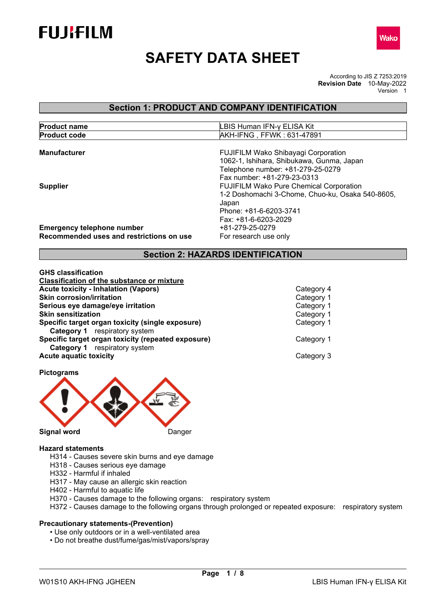



# **SAFETY DATA SHEET**

According to JIS Z 7253:2019 **Revision Date** 10-May-2022 Version 1

# **Section 1: PRODUCT AND COMPANY IDENTIFICATION**

| <b>Product name</b> | LBIS Human IFN-y ELISA Kit |
|---------------------|----------------------------|
| <b>Product code</b> | AKH-IFNG, FFWK: 631-47891  |

| <b>Manufacturer</b>                                                           | <b>FUJIFILM Wako Shibayagi Corporation</b><br>1062-1, Ishihara, Shibukawa, Gunma, Japan<br>Telephone number: +81-279-25-0279<br>Fax number: +81-279-23-0313   |
|-------------------------------------------------------------------------------|---------------------------------------------------------------------------------------------------------------------------------------------------------------|
| <b>Supplier</b>                                                               | <b>FUJIFILM Wako Pure Chemical Corporation</b><br>1-2 Doshomachi 3-Chome, Chuo-ku, Osaka 540-8605,<br>Japan<br>Phone: +81-6-6203-3741<br>Fax: +81-6-6203-2029 |
| <b>Emergency telephone number</b><br>Recommended uses and restrictions on use | +81-279-25-0279<br>For research use only                                                                                                                      |

# **Section 2: HAZARDS IDENTIFICATION**

| <b>GHS classification</b>                          |            |
|----------------------------------------------------|------------|
| <b>Classification of the substance or mixture</b>  |            |
| <b>Acute toxicity - Inhalation (Vapors)</b>        | Category 4 |
| <b>Skin corrosion/irritation</b>                   | Category 1 |
| Serious eye damage/eye irritation                  | Category 1 |
| <b>Skin sensitization</b>                          | Category 1 |
| Specific target organ toxicity (single exposure)   | Category 1 |
| <b>Category 1</b> respiratory system               |            |
| Specific target organ toxicity (repeated exposure) | Category 1 |
| <b>Category 1</b> respiratory system               |            |
| <b>Acute aquatic toxicity</b>                      | Category 3 |

**Pictograms** 



**Hazard statements**

- H314 Causes severe skin burns and eye damage
- H318 Causes serious eye damage
- H332 Harmful if inhaled
- H317 May cause an allergic skin reaction
- H402 Harmful to aquatic life
- H370 Causes damage to the following organs: respiratory system
- H372 Causes damage to the following organs through prolonged or repeated exposure: respiratory system

#### **Precautionary statements-(Prevention)**

- Use only outdoors or in a well-ventilated area
- Do not breathe dust/fume/gas/mist/vapors/spray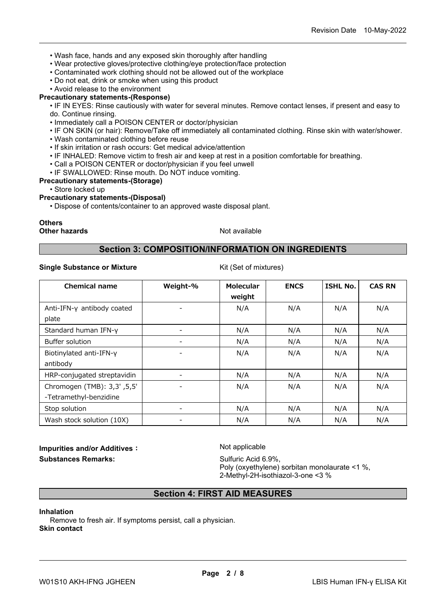- Wash face, hands and any exposed skin thoroughly after handling
- Wear protective gloves/protective clothing/eye protection/face protection
- Contaminated work clothing should not be allowed out of the workplace
- Do not eat, drink or smoke when using this product
- Avoid release to the environment

#### **Precautionary statements-(Response)**

• IF IN EYES: Rinse cautiously with water for several minutes. Remove contact lenses, if present and easy to do. Continue rinsing.

- Immediately call a POISON CENTER or doctor/physician
- IF ON SKIN (or hair): Remove/Take off immediately all contaminated clothing. Rinse skin with water/shower.
- Wash contaminated clothing before reuse
- If skin irritation or rash occurs: Get medical advice/attention
- IF INHALED: Remove victim to fresh air and keep at rest in a position comfortable for breathing.
- Call a POISON CENTER or doctor/physician if you feel unwell
- IF SWALLOWED: Rinse mouth. Do NOT induce vomiting.

## **Precautionary statements-(Storage)**

• Store locked up

## **Precautionary statements-(Disposal)**

• Dispose of contents/container to an approved waste disposal plant.

# **Others**

**Other hazards Not available** Not available

## **Section 3: COMPOSITION/INFORMATION ON INGREDIENTS**

#### **Single Substance or Mixture** Kit (Set of mixtures)

| <b>Chemical name</b>        | Weight-% | <b>Molecular</b><br>weight | <b>ENCS</b> | <b>ISHL No.</b> | <b>CAS RN</b> |
|-----------------------------|----------|----------------------------|-------------|-----------------|---------------|
| Anti-IFN-y antibody coated  |          | N/A                        | N/A         | N/A             | N/A           |
| plate                       |          |                            |             |                 |               |
| Standard human IFN-y        |          | N/A                        | N/A         | N/A             | N/A           |
| Buffer solution             |          | N/A                        | N/A         | N/A             | N/A           |
| Biotinylated anti-IFN-y     |          | N/A                        | N/A         | N/A             | N/A           |
| antibody                    |          |                            |             |                 |               |
| HRP-conjugated streptavidin |          | N/A                        | N/A         | N/A             | N/A           |
| Chromogen (TMB): 3,3' ,5,5' |          | N/A                        | N/A         | N/A             | N/A           |
| -Tetramethyl-benzidine      |          |                            |             |                 |               |
| Stop solution               |          | N/A                        | N/A         | N/A             | N/A           |
| Wash stock solution (10X)   |          | N/A                        | N/A         | N/A             | N/A           |

**Impurities and/or Additives:** Not applicable **Substances Remarks:** Substances Remarks: Sulfuric Acid 6.9%,

Poly (oxyethylene) sorbitan monolaurate <1 %, 2-Methyl-2H-isothiazol-3-one <3 %

# **Section 4: FIRST AID MEASURES**

#### **Inhalation**

Remove to fresh air. If symptoms persist, call a physician. **Skin contact**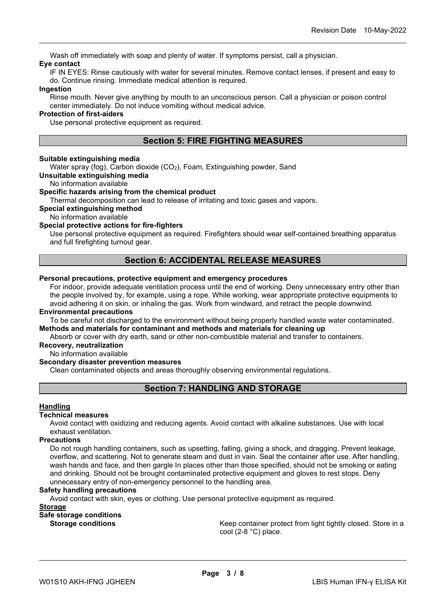Wash off immediately with soap and plenty of water. If symptoms persist, call a physician. **Eye contact**

IF IN EYES: Rinse cautiously with water for several minutes. Remove contact lenses, if present and easy to do. Continue rinsing. Immediate medical attention is required.

#### **Ingestion**

Rinse mouth. Never give anything by mouth to an unconscious person. Call a physician or poison control center immediately. Do not induce vomiting without medical advice.

#### **Protection of first-aiders**

Use personal protective equipment as required.

## **Section 5: FIRE FIGHTING MEASURES**

#### **Suitable extinguishing media**

Water spray (fog), Carbon dioxide  $(CO<sub>2</sub>)$ , Foam, Extinguishing powder, Sand

**Unsuitable extinguishing media**

No information available

#### **Specific hazards arising from the chemical product**

Thermal decomposition can lead to release of irritating and toxic gases and vapors.

**Special extinguishing method**

No information available

#### **Special protective actions for fire-fighters**

Use personal protective equipment as required. Firefighters should wear self-contained breathing apparatus and full firefighting turnout gear.

## **Section 6: ACCIDENTAL RELEASE MEASURES**

#### **Personal precautions, protective equipment and emergency procedures**

For indoor, provide adequate ventilation process until the end of working. Deny unnecessary entry other than the people involved by, for example, using a rope. While working, wear appropriate protective equipments to avoid adhering it on skin, or inhaling the gas. Work from windward, and retract the people downwind.

#### **Environmental precautions**

To be careful not discharged to the environment without being properly handled waste water contaminated. **Methods and materials for contaminant and methods and materials for cleaning up**

Absorb or cover with dry earth, sand or other non-combustible material and transfer to containers.

## **Recovery, neutralization**

No information available

#### **Secondary disaster prevention measures**

Clean contaminated objects and areas thoroughly observing environmental regulations.

# **Section 7: HANDLING AND STORAGE**

#### **Handling**

#### **Technical measures**

Avoid contact with oxidizing and reducing agents. Avoid contact with alkaline substances. Use with local exhaust ventilation.

#### **Precautions**

Do not rough handling containers, such as upsetting, falling, giving a shock, and dragging. Prevent leakage, overflow, and scattering. Not to generate steam and dust in vain. Seal the container after use. After handling, wash hands and face, and then gargle In places other than those specified, should not be smoking or eating and drinking. Should not be brought contaminated protective equipment and gloves to rest stops. Deny unnecessary entry of non-emergency personnel to the handling area.

#### **Safety handling precautions**

Avoid contact with skin, eyes or clothing. Use personal protective equipment as required.

## **Storage**

**Safe storage conditions**

Keep container protect from light tightly closed. Store in a cool (2-8 °C) place.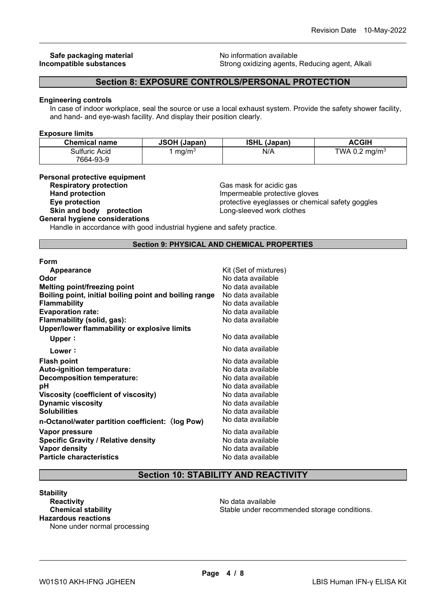safety goggles

# **Safe packaging material Safe packaging material no example in the set of the set of the set of the set of the set of the set of the set of the set of the set of the set of the set of the set of the set of the set of the s**

**Strong oxidizing agents, Reducing agent, Alkali** 

# **Section 8: EXPOSURE CONTROLS/PERSONAL PROTECTION**

#### **Engineering controls**

In case of indoor workplace, seal the source or use a local exhaust system. Provide the safety shower facility, and hand- and eye-wash facility. And display their position clearly.

#### **Exposure limits**

| <b>Chemical name</b> | <b>JSOH (Japan)</b> | <b>ISHL (Japan)</b> | ACGIH                     |
|----------------------|---------------------|---------------------|---------------------------|
| Sulfuric Acid        | mq/m <sup>3</sup>   | N/A                 | TWA 0.2 mg/m <sup>3</sup> |
| 7664-93-9            |                     |                     |                           |

#### **Personal protective equipment**

| <b>Respiratory protection</b>         | Gas mask for acidic gas           |
|---------------------------------------|-----------------------------------|
| <b>Hand protection</b>                | Impermeable protective gloves     |
| Eye protection                        | protective eyeglasses or chemical |
| Skin and body protection              | Long-sleeved work clothes         |
| <b>General hygiene considerations</b> |                                   |

Handle in accordance with good industrial hygiene and safety practice.

**Section 9: PHYSICAL AND CHEMICAL PROPERTIES** 

**Form**

| Appearance                                             | Kit (Set of mixtures) |
|--------------------------------------------------------|-----------------------|
| Odor                                                   | No data available     |
| <b>Melting point/freezing point</b>                    | No data available     |
| Boiling point, initial boiling point and boiling range | No data available     |
| <b>Flammability</b>                                    | No data available     |
| <b>Evaporation rate:</b>                               | No data available     |
| Flammability (solid, gas):                             | No data available     |
| Upper/lower flammability or explosive limits           |                       |
| Upper:                                                 | No data available     |
| Lower:                                                 | No data available     |
| <b>Flash point</b>                                     | No data available     |
| <b>Auto-ignition temperature:</b>                      | No data available     |
| Decomposition temperature:                             | No data available     |
| рH                                                     | No data available     |
| Viscosity (coefficient of viscosity)                   | No data available     |
| <b>Dynamic viscosity</b>                               | No data available     |
| <b>Solubilities</b>                                    | No data available     |
| n-Octanol/water partition coefficient: (log Pow)       | No data available     |
| Vapor pressure                                         | No data available     |
| <b>Specific Gravity / Relative density</b>             | No data available     |
| Vapor density                                          | No data available     |
| <b>Particle characteristics</b>                        | No data available     |
|                                                        |                       |

# **Section 10: STABILITY AND REACTIVITY**

**Stability Reactivity**<br> **Chemical stability**<br> **Chemical stability**<br> **Chemical stability**<br> **Chemical stability Hazardous reactions**

None under normal processing

Stable under recommended storage conditions.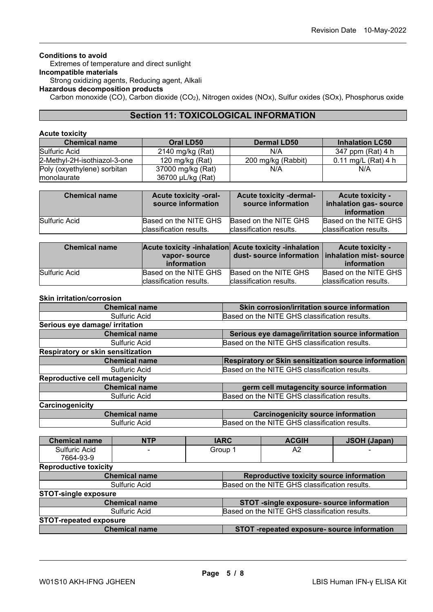## **Conditions to avoid**

Extremes of temperature and direct sunlight

# **Incompatible materials**

Strong oxidizing agents, Reducing agent, Alkali

# **Hazardous decomposition products**

Carbon monoxide (CO), Carbon dioxide (CO2), Nitrogen oxides (NOx), Sulfur oxides (SOx), Phosphorus oxide

## **Section 11: TOXICOLOGICAL INFORMATION**

## **Acute toxicity**

| <b>Chemical name</b>         | Oral LD50         | <b>Dermal LD50</b> | <b>Inhalation LC50</b> |
|------------------------------|-------------------|--------------------|------------------------|
| Sulfuric Acid                | 2140 mg/kg (Rat)  | N/A                | 347 ppm (Rat) 4 h      |
| 2-Methyl-2H-isothiazol-3-one | 120 mg/kg $(Rat)$ | 200 mg/kg (Rabbit) | $0.11$ mg/L (Rat) 4 h  |
| Poly (oxyethylene) sorbitan  | 37000 mg/kg (Rat) | N/A                | N/A                    |
| monolaurate                  | 36700 µL/kg (Rat) |                    |                        |

| <b>Chemical name</b> | <b>Acute toxicity -oral-</b><br>source information | <b>Acute toxicity -dermal-</b><br>source information | <b>Acute toxicity -</b><br>inhalation gas- source<br>information |
|----------------------|----------------------------------------------------|------------------------------------------------------|------------------------------------------------------------------|
| Sulfuric Acid        | Based on the NITE GHS                              | Based on the NITE GHS                                | Based on the NITE GHS                                            |
|                      | classification results.                            | classification results.                              | classification results.                                          |

| <b>Chemical name</b> | vapor-source            | Acute toxicity -inhalation Acute toxicity -inhalation | <b>Acute toxicity -</b> |
|----------------------|-------------------------|-------------------------------------------------------|-------------------------|
|                      | information             | dust-source information   inhalation mist-source      | information             |
| Sulfuric Acid        | Based on the NITE GHS   | Based on the NITE GHS                                 | Based on the NITE GHS   |
|                      | classification results. | classification results.                               | classification results. |

#### **Skin irritation/corrosion**

| <b>Chemical name</b>                  | Skin corrosion/irritation source information         |  |  |
|---------------------------------------|------------------------------------------------------|--|--|
| Sulfuric Acid                         | Based on the NITE GHS classification results.        |  |  |
| Serious eye damage/ irritation        |                                                      |  |  |
| <b>Chemical name</b>                  | Serious eye damage/irritation source information     |  |  |
| Sulfuric Acid                         | Based on the NITE GHS classification results.        |  |  |
| Respiratory or skin sensitization     |                                                      |  |  |
| <b>Chemical name</b>                  | Respiratory or Skin sensitization source information |  |  |
| Sulfuric Acid                         | Based on the NITE GHS classification results.        |  |  |
| <b>Reproductive cell mutagenicity</b> |                                                      |  |  |
| <b>Chemical name</b>                  | germ cell mutagencity source information             |  |  |
| Sulfuric Acid                         | Based on the NITE GHS classification results.        |  |  |
| Carcinogenicity                       |                                                      |  |  |
| <b>Chemical name</b>                  | <b>Carcinogenicity source information</b>            |  |  |
| Sulfuric Acid                         | Based on the NITE GHS classification results.        |  |  |

| <b>Chemical name</b>          | <b>NTP</b>                                                       | <b>IARC</b>                                   |                                               | <b>ACGIH</b> | <b>JSOH (Japan)</b>                         |  |
|-------------------------------|------------------------------------------------------------------|-----------------------------------------------|-----------------------------------------------|--------------|---------------------------------------------|--|
| Sulfuric Acid<br>7664-93-9    |                                                                  | Group 1                                       |                                               | A2           |                                             |  |
| <b>Reproductive toxicity</b>  |                                                                  |                                               |                                               |              |                                             |  |
|                               | Reproductive toxicity source information<br><b>Chemical name</b> |                                               |                                               |              |                                             |  |
|                               | Sulfuric Acid                                                    |                                               | Based on the NITE GHS classification results. |              |                                             |  |
| <b>STOT-single exposure</b>   |                                                                  |                                               |                                               |              |                                             |  |
| <b>Chemical name</b>          |                                                                  | STOT -single exposure- source information     |                                               |              |                                             |  |
| Sulfuric Acid                 |                                                                  | Based on the NITE GHS classification results. |                                               |              |                                             |  |
| <b>STOT-repeated exposure</b> |                                                                  |                                               |                                               |              |                                             |  |
|                               | <b>Chemical name</b>                                             |                                               |                                               |              | STOT -repeated exposure- source information |  |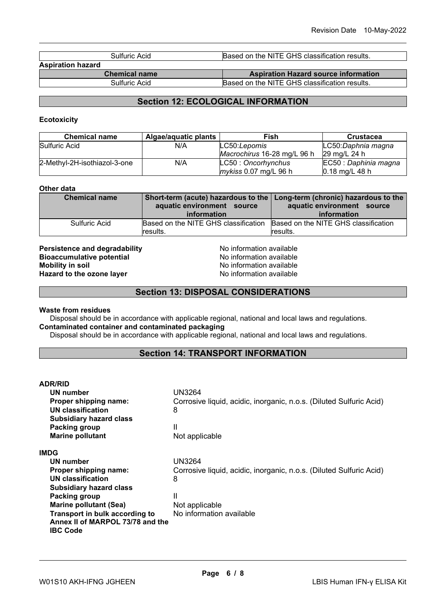| Sulfuric Acid            | Based on the NITE GHS classification results. |  |
|--------------------------|-----------------------------------------------|--|
| <b>Aspiration hazard</b> |                                               |  |
| <b>Chemical name</b>     | <b>Aspiration Hazard source information</b>   |  |
| Sulfuric Acid            | Based on the NITE GHS classification results. |  |

# **Section 12: ECOLOGICAL INFORMATION**

### **Ecotoxicity**

| <b>Chemical name</b>         | Algae/aquatic plants | Fish                        | <b>Crustacea</b>                 |
|------------------------------|----------------------|-----------------------------|----------------------------------|
| Sulfuric Acid                | N/A                  | LC50:Lepomis                | LC50:Daphnia magna               |
|                              |                      | Macrochirus 16-28 mg/L 96 h | 29 ma/L 24 h                     |
| 2-Methyl-2H-isothiazol-3-one | N/A                  | LC50: Oncorhynchus          | EC50 : Daphinia magna            |
|                              |                      | $m\nu$ kiss 0.07 mg/L 96 h  | $0.18 \text{ mg/L} 48 \text{ h}$ |

## **Other data**

| <b>Chemical name</b> | aquatic environment source<br>information        | Short-term (acute) hazardous to the Long-term (chronic) hazardous to the<br>aquatic environment source<br>information |
|----------------------|--------------------------------------------------|-----------------------------------------------------------------------------------------------------------------------|
| Sulfuric Acid        | Based on the NITE GHS classification<br>results. | Based on the NITE GHS classification<br>results.                                                                      |

**Persistence and degradability and South American Service Controller Sionaccumulative potential**<br> **Bioaccumulative potential No information available Bioaccumulative potential<br>Mobility in soil Hazard to the ozone layer** 

No information available<br>No information available

## **Section 13: DISPOSAL CONSIDERATIONS**

#### **Waste from residues**

Disposal should be in accordance with applicable regional, national and local laws and regulations. **Contaminated container and contaminated packaging**

Disposal should be in accordance with applicable regional, national and local laws and regulations.

## **Section 14: TRANSPORT INFORMATION**

| <b>ADR/RID</b>                                                                        |                                                                     |
|---------------------------------------------------------------------------------------|---------------------------------------------------------------------|
| UN number                                                                             | UN3264                                                              |
| Proper shipping name:                                                                 | Corrosive liquid, acidic, inorganic, n.o.s. (Diluted Sulfuric Acid) |
| UN classification                                                                     | 8                                                                   |
| <b>Subsidiary hazard class</b>                                                        |                                                                     |
| Packing group                                                                         | Ш                                                                   |
| <b>Marine pollutant</b>                                                               | Not applicable                                                      |
| IMDG                                                                                  |                                                                     |
| UN number                                                                             | <b>UN3264</b>                                                       |
| Proper shipping name:                                                                 | Corrosive liquid, acidic, inorganic, n.o.s. (Diluted Sulfuric Acid) |
| <b>UN classification</b>                                                              | 8                                                                   |
| <b>Subsidiary hazard class</b>                                                        |                                                                     |
| Packing group                                                                         | Ш                                                                   |
| <b>Marine pollutant (Sea)</b>                                                         | Not applicable                                                      |
| Transport in bulk according to<br>Annex II of MARPOL 73/78 and the<br><b>IBC Code</b> | No information available                                            |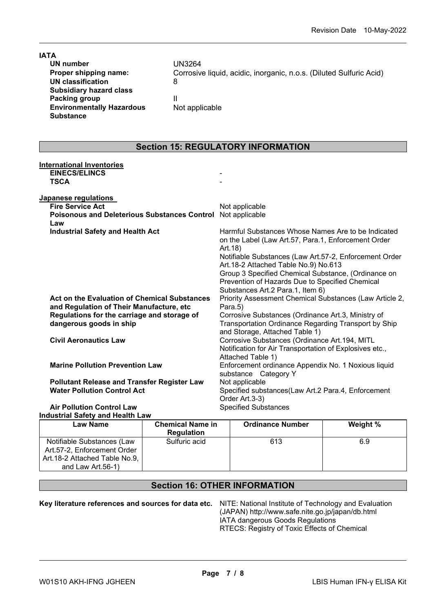| <b>IATA</b>                      |                                                                     |
|----------------------------------|---------------------------------------------------------------------|
| UN number                        | UN3264                                                              |
| Proper shipping name:            | Corrosive liquid, acidic, inorganic, n.o.s. (Diluted Sulfuric Acid) |
| UN classification                | 8                                                                   |
| <b>Subsidiary hazard class</b>   |                                                                     |
| Packing group                    |                                                                     |
| <b>Environmentally Hazardous</b> | Not applicable                                                      |
| <b>Substance</b>                 |                                                                     |
|                                  |                                                                     |

## **Section 15: REGULATORY INFORMATION**

| <b>International Inventories</b>                    |                                                         |
|-----------------------------------------------------|---------------------------------------------------------|
| <b>EINECS/ELINCS</b>                                |                                                         |
| <b>TSCA</b>                                         |                                                         |
|                                                     |                                                         |
| Japanese regulations                                |                                                         |
| <b>Fire Service Act</b>                             | Not applicable                                          |
| <b>Poisonous and Deleterious Substances Control</b> | Not applicable                                          |
| Law                                                 |                                                         |
| <b>Industrial Safety and Health Act</b>             | Harmful Substances Whose Names Are to be Indicated      |
|                                                     | on the Label (Law Art.57, Para.1, Enforcement Order     |
|                                                     | Art.18)                                                 |
|                                                     | Notifiable Substances (Law Art.57-2, Enforcement Order  |
|                                                     | Art.18-2 Attached Table No.9) No.613                    |
|                                                     | Group 3 Specified Chemical Substance, (Ordinance on     |
|                                                     | Prevention of Hazards Due to Specified Chemical         |
|                                                     | Substances Art.2 Para.1, Item 6)                        |
| Act on the Evaluation of Chemical Substances        | Priority Assessment Chemical Substances (Law Article 2, |
| and Regulation of Their Manufacture, etc            | Para.5)                                                 |
| Regulations for the carriage and storage of         | Corrosive Substances (Ordinance Art.3, Ministry of      |
| dangerous goods in ship                             | Transportation Ordinance Regarding Transport by Ship    |
|                                                     | and Storage, Attached Table 1)                          |
| <b>Civil Aeronautics Law</b>                        | Corrosive Substances (Ordinance Art.194, MITL           |
|                                                     | Notification for Air Transportation of Explosives etc., |
|                                                     | Attached Table 1)                                       |
| <b>Marine Pollution Prevention Law</b>              | Enforcement ordinance Appendix No. 1 Noxious liquid     |
|                                                     | substance Category Y                                    |
| <b>Pollutant Release and Transfer Register Law</b>  | Not applicable                                          |
| <b>Water Pollution Control Act</b>                  | Specified substances(Law Art.2 Para.4, Enforcement      |
|                                                     | Order Art.3-3)                                          |
| <b>Air Pollution Control Law</b>                    | <b>Specified Substances</b>                             |
| <b>Industrial Safety and Health Law</b>             |                                                         |

#### **Law Name Chemical Name in Regulation Ordinance Number Weight %** Notifiable Substances (Law Art.57-2, Enforcement Order Art.18-2 Attached Table No.9, and Law Art.56-1) Sulfuric acid 613 6.9

# **Section 16: OTHER INFORMATION**

**Key literature references and sources for data etc.** NITE: National Institute of Technology and Evaluation

(JAPAN) http://www.safe.nite.go.jp/japan/db.html IATA dangerous Goods Regulations RTECS: Registry of Toxic Effects of Chemical